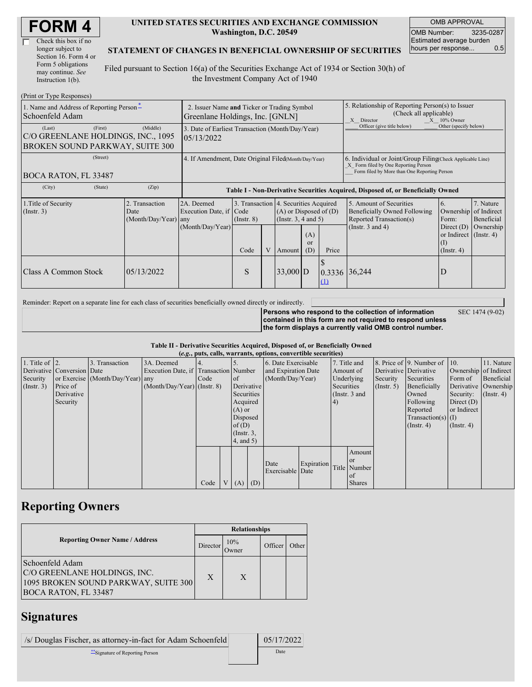| <b>FORM4</b> |
|--------------|
|--------------|

| Check this box if no  |
|-----------------------|
| longer subject to     |
| Section 16. Form 4 or |
| Form 5 obligations    |
| may continue. See     |
| Instruction $1(b)$ .  |

#### **UNITED STATES SECURITIES AND EXCHANGE COMMISSION Washington, D.C. 20549**

OMB APPROVAL OMB Number: 3235-0287 Estimated average burden hours per response... 0.5

#### **STATEMENT OF CHANGES IN BENEFICIAL OWNERSHIP OF SECURITIES**

Filed pursuant to Section 16(a) of the Securities Exchange Act of 1934 or Section 30(h) of the Investment Company Act of 1940

| (Print or Type Responses)                                                                  |                                                                                |                                                                                  |                 |   |                                                                                            |                        |                                                                                                                                                    |                                                                                                                                                                     |                                                         |                                      |
|--------------------------------------------------------------------------------------------|--------------------------------------------------------------------------------|----------------------------------------------------------------------------------|-----------------|---|--------------------------------------------------------------------------------------------|------------------------|----------------------------------------------------------------------------------------------------------------------------------------------------|---------------------------------------------------------------------------------------------------------------------------------------------------------------------|---------------------------------------------------------|--------------------------------------|
| 1. Name and Address of Reporting Person-<br>Schoenfeld Adam                                | 2. Issuer Name and Ticker or Trading Symbol<br>Greenlane Holdings, Inc. [GNLN] |                                                                                  |                 |   |                                                                                            |                        | 5. Relationship of Reporting Person(s) to Issuer<br>(Check all applicable)<br>$X = 10\%$ Owner<br>X Director                                       |                                                                                                                                                                     |                                                         |                                      |
| (First)<br>(Last)<br>C/O GREENLANE HOLDINGS, INC., 1095<br>BROKEN SOUND PARKWAY, SUITE 300 | (Middle)                                                                       | 3. Date of Earliest Transaction (Month/Day/Year)<br>05/13/2022                   |                 |   |                                                                                            |                        |                                                                                                                                                    | Officer (give title below)                                                                                                                                          | Other (specify below)                                   |                                      |
| (Street)<br>BOCA RATON, FL 33487                                                           | 4. If Amendment, Date Original Filed(Month/Day/Year)                           |                                                                                  |                 |   |                                                                                            |                        | 6. Individual or Joint/Group Filing Check Applicable Line)<br>X Form filed by One Reporting Person<br>Form filed by More than One Reporting Person |                                                                                                                                                                     |                                                         |                                      |
| (City)<br>(State)                                                                          | (Zip)                                                                          | Table I - Non-Derivative Securities Acquired, Disposed of, or Beneficially Owned |                 |   |                                                                                            |                        |                                                                                                                                                    |                                                                                                                                                                     |                                                         |                                      |
| 1. Title of Security<br>(Insert. 3)                                                        | 2. Transaction<br>Date<br>(Month/Day/Year) any                                 | 2A. Deemed<br>Execution Date, if Code<br>(Month/Day/Year)                        | $($ Instr. $8)$ |   | 3. Transaction 4. Securities Acquired<br>$(A)$ or Disposed of $(D)$<br>(Instr. 3, 4 and 5) |                        |                                                                                                                                                    | 5. Amount of Securities<br>6.<br>Ownership of Indirect<br>Beneficially Owned Following<br>Reported Transaction(s)<br>Form:<br>(Instr. $3$ and $4$ )<br>Direct $(D)$ |                                                         | 7. Nature<br>Beneficial<br>Ownership |
|                                                                                            |                                                                                |                                                                                  | Code            | V | Amount                                                                                     | (A)<br>$\alpha$<br>(D) | Price                                                                                                                                              |                                                                                                                                                                     | or Indirect $($ Instr. 4 $)$<br>(1)<br>$($ Instr. 4 $)$ |                                      |
| Class A Common Stock                                                                       | 05/13/2022                                                                     |                                                                                  | S               |   | $33,000$ D                                                                                 |                        | Φ<br>0.3336<br>$\Omega$                                                                                                                            | 36,244                                                                                                                                                              | D                                                       |                                      |

Reminder: Report on a separate line for each class of securities beneficially owned directly or indirectly.

**Persons who respond to the collection of information contained in this form are not required to respond unless the form displays a currently valid OMB control number.** SEC 1474 (9-02)

#### **Table II - Derivative Securities Acquired, Disposed of, or Beneficially Owned (***e.g.***, puts, calls, warrants, options, convertible securities)**

| $(0.5, 0.005, 0.005, 0.0005, 0.00005, 0.0000, 0.0000, 0.0000, 0.0000, 0.0000, 0.0000, 0.0000, 0.0000, 0.0000, 0.0000, 0.0000, 0.0000, 0.0000, 0.0000, 0.0000, 0.0000, 0.0000, 0.0000, 0.0000, 0.0000, 0.0000, 0.0000, 0.0000,$ |                            |                                  |                                       |      |  |                 |          |                     |            |           |               |                       |                              |                       |                      |
|--------------------------------------------------------------------------------------------------------------------------------------------------------------------------------------------------------------------------------|----------------------------|----------------------------------|---------------------------------------|------|--|-----------------|----------|---------------------|------------|-----------|---------------|-----------------------|------------------------------|-----------------------|----------------------|
| 1. Title of $\vert$ 2.                                                                                                                                                                                                         |                            | 3. Transaction                   | 3A. Deemed                            |      |  |                 |          | 6. Date Exercisable |            |           | 7. Title and  |                       | 8. Price of 9. Number of 10. |                       | 11. Nature           |
|                                                                                                                                                                                                                                | Derivative Conversion Date |                                  | Execution Date, if Transaction Number |      |  |                 |          | and Expiration Date |            | Amount of |               | Derivative Derivative |                              | Ownership of Indirect |                      |
| Security                                                                                                                                                                                                                       |                            | or Exercise (Month/Day/Year) any |                                       | Code |  | <sub>of</sub>   |          | (Month/Day/Year)    |            |           | Underlying    | Security              | Securities                   | Form of               | Beneficial           |
| (Insert. 3)                                                                                                                                                                                                                    | Price of                   |                                  | $(Month/Day/Year)$ (Instr. 8)         |      |  | Derivative      |          |                     | Securities |           |               | (Insert, 5)           | Beneficially                 |                       | Derivative Ownership |
|                                                                                                                                                                                                                                | Derivative                 |                                  |                                       |      |  | Securities      |          |                     |            |           | (Instr. 3 and |                       | Owned                        | Security:             | $($ Instr. 4)        |
|                                                                                                                                                                                                                                | Security                   |                                  |                                       |      |  | Acquired        |          |                     |            | 4)        |               |                       | Following                    | Direct $(D)$          |                      |
|                                                                                                                                                                                                                                |                            |                                  |                                       |      |  | $(A)$ or        |          |                     |            |           |               |                       | Reported                     | or Indirect           |                      |
|                                                                                                                                                                                                                                |                            |                                  |                                       |      |  |                 | Disposed |                     |            |           |               | $Transaction(s)$ (I)  |                              |                       |                      |
|                                                                                                                                                                                                                                |                            |                                  |                                       |      |  | of $(D)$        |          |                     |            |           |               |                       | $($ Instr. 4 $)$             | $($ Instr. 4 $)$      |                      |
|                                                                                                                                                                                                                                |                            |                                  |                                       |      |  | $($ Instr. $3,$ |          |                     |            |           |               |                       |                              |                       |                      |
|                                                                                                                                                                                                                                |                            |                                  |                                       |      |  | $4$ , and 5)    |          |                     |            |           |               |                       |                              |                       |                      |
|                                                                                                                                                                                                                                |                            |                                  |                                       |      |  |                 |          |                     |            |           | Amount        |                       |                              |                       |                      |
|                                                                                                                                                                                                                                |                            |                                  |                                       |      |  |                 |          | Date                | Expiration |           | or or         |                       |                              |                       |                      |
|                                                                                                                                                                                                                                |                            |                                  |                                       |      |  |                 |          | Exercisable Date    |            |           | Title Number  |                       |                              |                       |                      |
|                                                                                                                                                                                                                                |                            |                                  |                                       |      |  |                 |          |                     |            |           | of            |                       |                              |                       |                      |
|                                                                                                                                                                                                                                |                            |                                  |                                       | Code |  | V   (A)   (D)   |          |                     |            |           | <b>Shares</b> |                       |                              |                       |                      |

# **Reporting Owners**

|                                                                                                                        | <b>Relationships</b> |              |         |       |  |  |  |
|------------------------------------------------------------------------------------------------------------------------|----------------------|--------------|---------|-------|--|--|--|
| <b>Reporting Owner Name / Address</b>                                                                                  | Director             | 10%<br>Owner | Officer | Other |  |  |  |
| Schoenfeld Adam<br>C/O GREENLANE HOLDINGS, INC.<br>1095 BROKEN SOUND PARKWAY, SUITE 300<br><b>BOCA RATON, FL 33487</b> | X                    | X            |         |       |  |  |  |

### **Signatures**

| /s/ Douglas Fischer, as attorney-in-fact for Adam Schoenfeld | 05/17/2022 |
|--------------------------------------------------------------|------------|
| **Signature of Reporting Person                              | Date       |